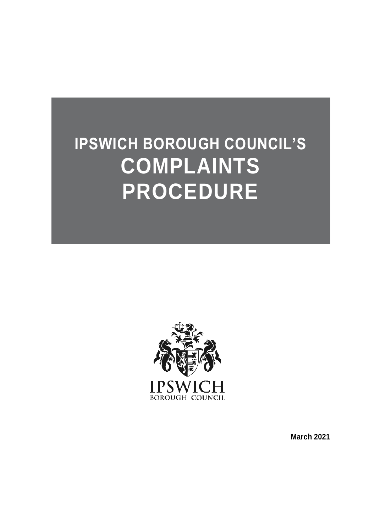# **IPSWICH BOROUGH COUNCIL'S COMPLAINTS PROCEDURE**



**March 2021**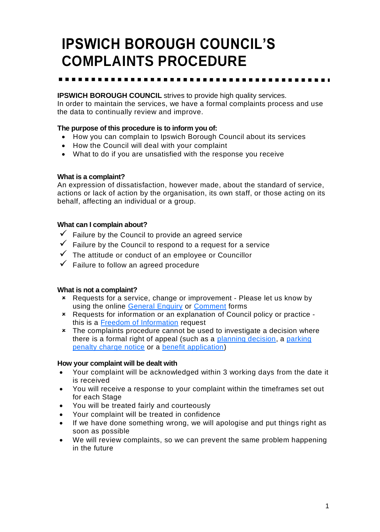## **IPSWICH BOROUGH COUNCIL'S COMPLAINTS PROCEDURE**

#### **IPSWICH BOROUGH COUNCIL** strives to provide high quality services.

In order to maintain the services, we have a formal complaints process and use the data to continually review and improve.

#### **The purpose of this procedure is to inform you of:**

- How you can complain to Ipswich Borough Council about its services
- How the Council will deal with your complaint
- What to do if you are unsatisfied with the response you receive

#### **What is a complaint?**

An expression of dissatisfaction, however made, about the standard of service, actions or lack of action by the organisation, its own staff, or those acting on its behalf, affecting an individual or a group.

#### **What can I complain about?**

- $\checkmark$  Failure by the Council to provide an agreed service
- $\checkmark$  Failure by the Council to respond to a request for a service
- $\checkmark$  The attitude or conduct of an employee or Councillor
- $\checkmark$  Failure to follow an agreed procedure

#### **What is not a complaint?**

- [Requests for a serv](https://my.ipswich.gov.uk/service/Contact_Us___General_Enquiry)ice, [change or impro](https://my.ipswich.gov.uk/service/Contact_Us___Comment)vement Please let us know by using the online [General Enquiry](https://my.ipswich.gov.uk/service/Contact_Us___General_Enquiry) or [Comment](https://my.ipswich.gov.uk/AchieveForms/?mode=fill&consentMessage=yes&form_uri=sandbox-publish://AF-Process-e8bf3caa-8479-4475-93a7-04c1705b608d/AF-Stage-1d08fb2f-26f0-4d19-8bdb-193752e76ad3/definition.json&process=1&process_uri=sandbox-processes://AF-Process-e8bf3caa-8479-4475-93a7-04c1705b608d&process_id=AF-Process-e8bf3caa-8479-4475-93a7-04c1705b608d) forms
- Reque[sts for information or an explanation](https://www.ipswich.gov.uk/freedom-of-information) of Council policy or practice this is a [Freedom of Information](https://my.ipswich.gov.uk/AchieveForms/?mode=fill&consentMessage=yes&form_uri=sandbox-publish://AF-Process-b0f0b811-6c65-4c26-8959-fb9be70da122/AF-Stage-71ffb287-06a6-41c3-ae9f-57a945d6212c/definition.json&process=1&process_uri=sandbox-processes://AF-Process-b0f0b811-6c65-4c26-8959-fb9be70da122&process_id=AF-Process-b0f0b811-6c65-4c26-8959-fb9be70da122) request
- \* The complaints procedure cannot be used to investigate a decision where there is a formal right of appeal (such as a [planning decision,](https://www.ipswich.gov.uk/content/how-to-appeal) a [parking](https://www.ipswich.gov.uk/pcn)  [penalty charge](https://www.ipswich.gov.uk/pcn) notice or a [benefit application\)](https://www.ipswich.gov.uk/content/if-you-disagree-our-housing-benefit-decision)

#### **How your complaint will be dealt with**

- Your complaint will be acknowledged within 3 working days from the date it is received
- You will receive a response to your complaint within the timeframes set out for each Stage
- You will be treated fairly and courteously
- Your complaint will be treated in confidence
- If we have done something wrong, we will apologise and put things right as soon as possible
- We will review complaints, so we can prevent the same problem happening in the future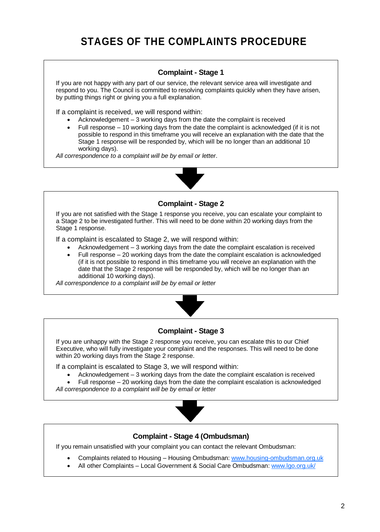#### **Complaint - Stage 1**

If you are not happy with any part of our service, the relevant service area will investigate and respond to you. The Council is committed to resolving complaints quickly when they have arisen, by putting things right or giving you a full explanation.

If a complaint is received, we will respond within:

- Acknowledgement 3 working days from the date the complaint is received
- Full response 10 working days from the date the complaint is acknowledged (if it is not possible to respond in this timeframe you will receive an explanation with the date that the Stage 1 response will be responded by, which will be no longer than an additional 10 working days).

*All correspondence to a complaint will be by email or letter*.



#### **Complaint - Stage 2**

If you are not satisfied with the Stage 1 response you receive, you can escalate your complaint to a Stage 2 to be investigated further. This will need to be done within 20 working days from the Stage 1 response.

If a complaint is escalated to Stage 2, we will respond within:

- Acknowledgement 3 working days from the date the complaint escalation is received
- Full response 20 working days from the date the complaint escalation is acknowledged (if it is not possible to respond in this timeframe you will receive an explanation with the date that the Stage 2 response will be responded by, which will be no longer than an additional 10 working days).

*All correspondence to a complaint will be by email or letter*



#### **Complaint - Stage 3**

If you are unhappy with the Stage 2 response you receive, you can escalate this to our Chief Executive, who will fully investigate your complaint and the responses. This will need to be done within 20 working days from the Stage 2 response.

If a complaint is escalated to Stage 3, we will respond within:

• Acknowledgement – 3 working days from the date the complaint escalation is received

• Full response – 20 working days from the date the complaint escalation is acknowledged *All correspondence to a complaint will be by email or letter*



#### **Complaint - Stage 4 (Ombudsman)**

If you remain unsatisfied with your complaint you can contact the relevant Ombudsman:

- Complaints related to Housing Housing Ombudsman: [www.housing-ombudsman.org.uk](http://www.housing-ombudsman.org.uk/)
- All other Complaints Local Government & Social Care Ombudsman: [www.lgo.org.uk/](http://www.lgo.org.uk/)